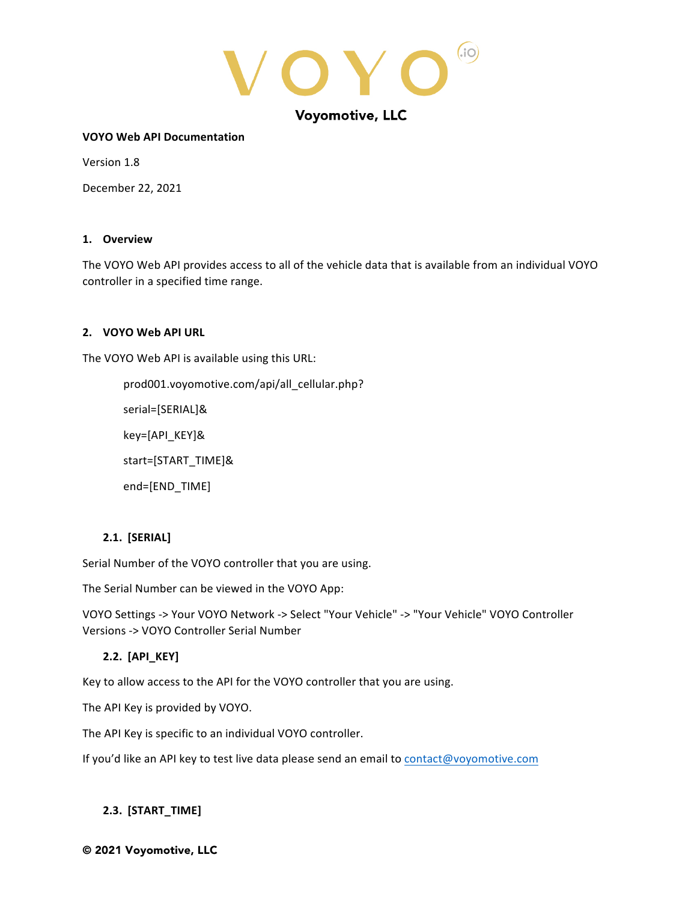

#### **VOYO Web API Documentation**

Version 1.8

December 22, 2021

#### **1. Overview**

The VOYO Web API provides access to all of the vehicle data that is available from an individual VOYO controller in a specified time range.

# **2. VOYO Web API URL**

The VOYO Web API is available using this URL:

prod001.voyomotive.com/api/all\_cellular.php? serial=[SERIAL]& key=[API\_KEY]& start=[START\_TIME]& end=[END\_TIME]

# **2.1. [SERIAL]**

Serial Number of the VOYO controller that you are using.

The Serial Number can be viewed in the VOYO App:

VOYO Settings -> Your VOYO Network -> Select "Your Vehicle" -> "Your Vehicle" VOYO Controller Versions -> VOYO Controller Serial Number

# **2.2. [API\_KEY]**

Key to allow access to the API for the VOYO controller that you are using.

The API Key is provided by VOYO.

The API Key is specific to an individual VOYO controller.

If you'd like an API key to test live data please send an email to contact@voyomotive.com

# **2.3. [START\_TIME]**

#### © 2021 Voyomotive, LLC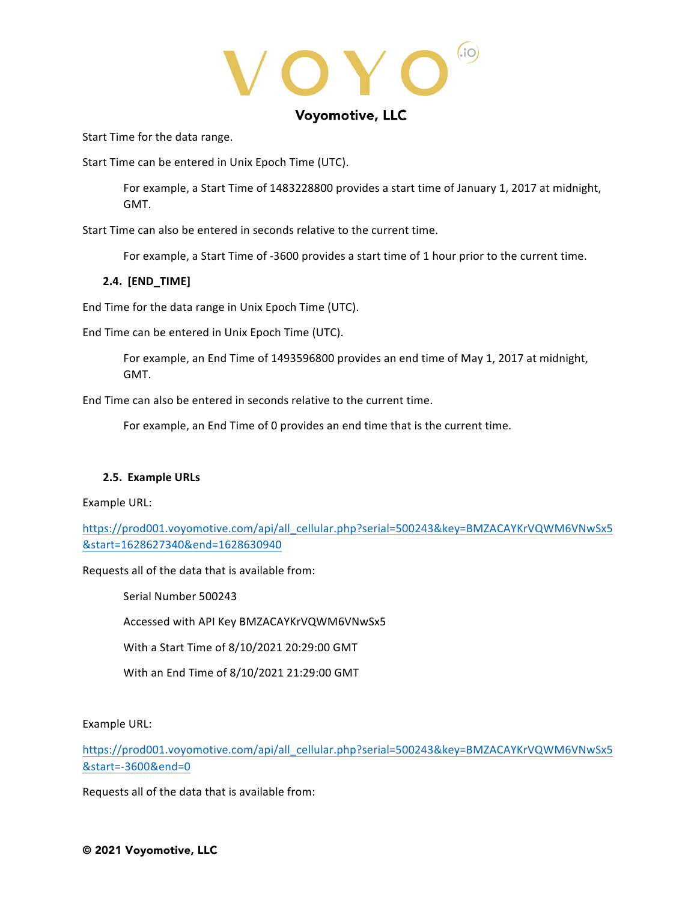$\sqrt{\mathbf{O}}$  $(i)$ 

Start Time for the data range.

Start Time can be entered in Unix Epoch Time (UTC).

For example, a Start Time of 1483228800 provides a start time of January 1, 2017 at midnight, GMT.

Start Time can also be entered in seconds relative to the current time.

For example, a Start Time of -3600 provides a start time of 1 hour prior to the current time.

# **2.4. [END\_TIME]**

End Time for the data range in Unix Epoch Time (UTC).

End Time can be entered in Unix Epoch Time (UTC).

For example, an End Time of 1493596800 provides an end time of May 1, 2017 at midnight, GMT.

End Time can also be entered in seconds relative to the current time.

For example, an End Time of 0 provides an end time that is the current time.

# **2.5. Example URLs**

Example URL:

https://prod001.voyomotive.com/api/all\_cellular.php?serial=500243&key=BMZACAYKrVQWM6VNwSx5 &start=1628627340&end=1628630940

Requests all of the data that is available from:

Serial Number 500243

Accessed with API Key BMZACAYKrVQWM6VNwSx5

With a Start Time of 8/10/2021 20:29:00 GMT

With an End Time of 8/10/2021 21:29:00 GMT

Example URL:

https://prod001.voyomotive.com/api/all\_cellular.php?serial=500243&key=BMZACAYKrVQWM6VNwSx5 &start=-3600&end=0

Requests all of the data that is available from: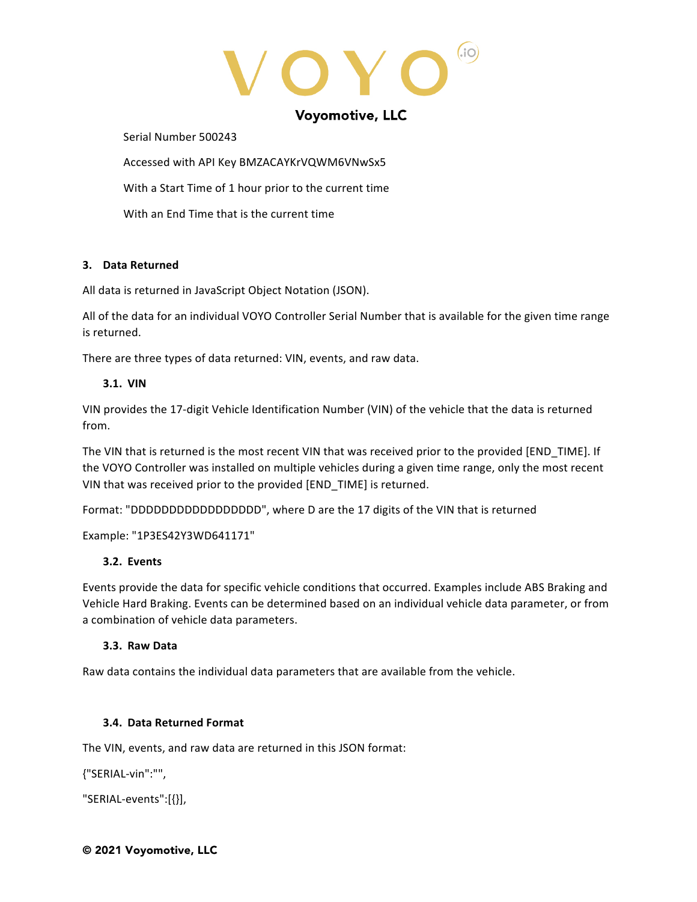YO  $(i)$ 

Serial Number 500243

Accessed with API Key BMZACAYKrVQWM6VNwSx5

With a Start Time of 1 hour prior to the current time

With an End Time that is the current time

# **3. Data Returned**

All data is returned in JavaScript Object Notation (JSON).

All of the data for an individual VOYO Controller Serial Number that is available for the given time range is returned.

There are three types of data returned: VIN, events, and raw data.

# **3.1. VIN**

VIN provides the 17-digit Vehicle Identification Number (VIN) of the vehicle that the data is returned from.

The VIN that is returned is the most recent VIN that was received prior to the provided [END\_TIME]. If the VOYO Controller was installed on multiple vehicles during a given time range, only the most recent VIN that was received prior to the provided [END\_TIME] is returned.

Format: "DDDDDDDDDDDDDDDDDDD", where D are the 17 digits of the VIN that is returned

Example: "1P3ES42Y3WD641171"

# **3.2. Events**

Events provide the data for specific vehicle conditions that occurred. Examples include ABS Braking and Vehicle Hard Braking. Events can be determined based on an individual vehicle data parameter, or from a combination of vehicle data parameters.

# **3.3. Raw Data**

Raw data contains the individual data parameters that are available from the vehicle.

# **3.4. Data Returned Format**

The VIN, events, and raw data are returned in this JSON format:

{"SERIAL-vin":"",

"SERIAL-events":[{}],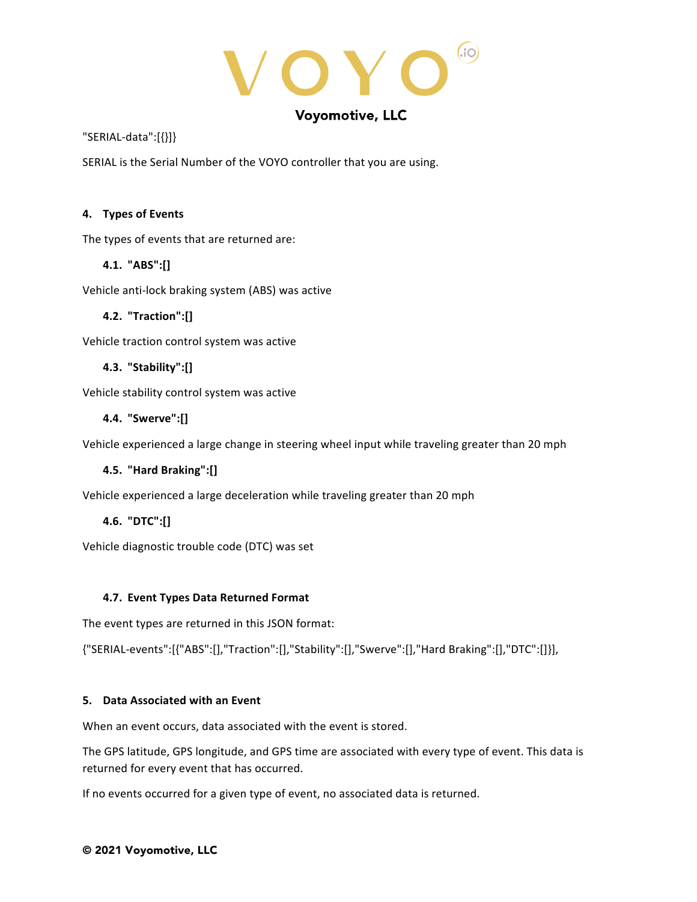YO  $(i)$ 

"SERIAL-data":[{}]}

SERIAL is the Serial Number of the VOYO controller that you are using.

# **4. Types of Events**

The types of events that are returned are:

# **4.1. "ABS":[]**

Vehicle anti-lock braking system (ABS) was active

# **4.2. "Traction":[]**

Vehicle traction control system was active

# **4.3. "Stability":[]**

Vehicle stability control system was active

# **4.4. "Swerve":[]**

Vehicle experienced a large change in steering wheel input while traveling greater than 20 mph

# **4.5. "Hard Braking":[]**

Vehicle experienced a large deceleration while traveling greater than 20 mph

# **4.6. "DTC":[]**

Vehicle diagnostic trouble code (DTC) was set

# **4.7. Event Types Data Returned Format**

The event types are returned in this JSON format:

{"SERIAL-events":[{"ABS":[],"Traction":[],"Stability":[],"Swerve":[],"Hard Braking":[],"DTC":[]}],

# **5. Data Associated with an Event**

When an event occurs, data associated with the event is stored.

The GPS latitude, GPS longitude, and GPS time are associated with every type of event. This data is returned for every event that has occurred.

If no events occurred for a given type of event, no associated data is returned.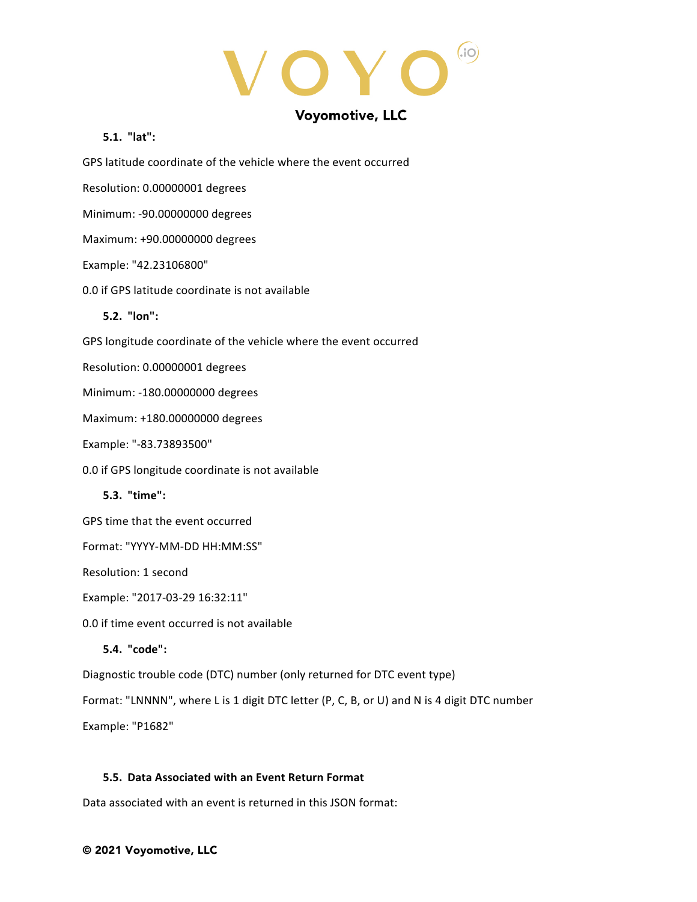YO  $(i)$  $\bigodot$ 

# **5.1. "lat":**

GPS latitude coordinate of the vehicle where the event occurred

Resolution: 0.00000001 degrees

Minimum: -90.00000000 degrees

Maximum: +90.00000000 degrees

#### Example: "42.23106800"

0.0 if GPS latitude coordinate is not available

# **5.2. "lon":**

GPS longitude coordinate of the vehicle where the event occurred

Resolution: 0.00000001 degrees

Minimum: -180.00000000 degrees

Maximum: +180.00000000 degrees

Example: "-83.73893500"

0.0 if GPS longitude coordinate is not available

**5.3. "time":**

GPS time that the event occurred

Format: "YYYY-MM-DD HH:MM:SS"

Resolution: 1 second

Example: "2017-03-29 16:32:11"

0.0 if time event occurred is not available

# **5.4. "code":**

Diagnostic trouble code (DTC) number (only returned for DTC event type)

Format: "LNNNN", where L is 1 digit DTC letter (P, C, B, or U) and N is 4 digit DTC number

Example: "P1682"

# **5.5. Data Associated with an Event Return Format**

Data associated with an event is returned in this JSON format: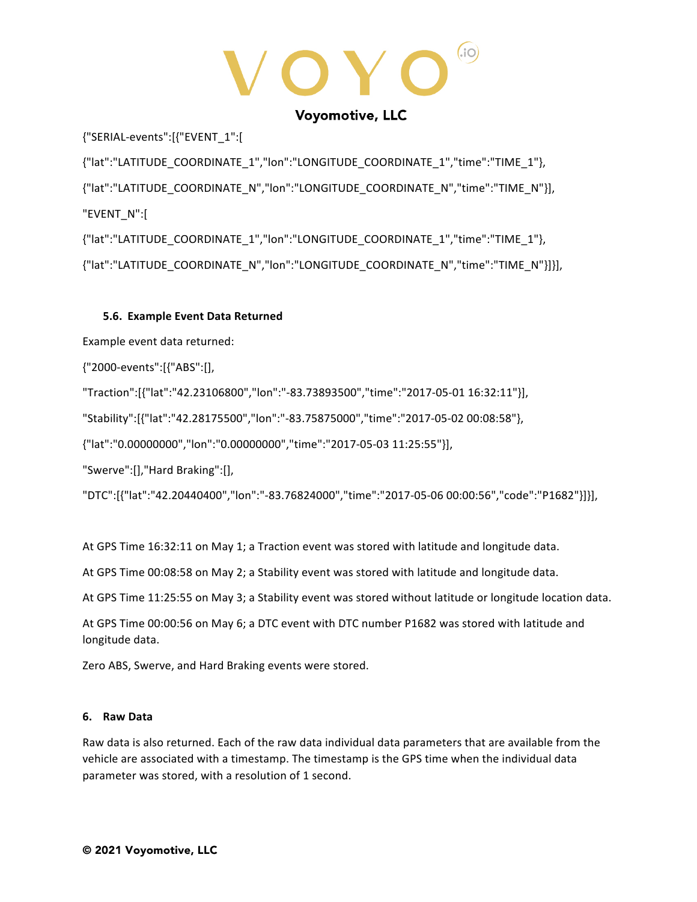(i)  $\bigcap$ 

{"SERIAL-events":[{"EVENT\_1":[

{"lat":"LATITUDE\_COORDINATE\_1","lon":"LONGITUDE\_COORDINATE\_1","time":"TIME\_1"}, {"lat":"LATITUDE\_COORDINATE\_N","lon":"LONGITUDE\_COORDINATE\_N","time":"TIME\_N"}], "EVENT\_N":[ {"lat":"LATITUDE\_COORDINATE\_1","lon":"LONGITUDE\_COORDINATE\_1","time":"TIME\_1"},

{"lat":"LATITUDE\_COORDINATE\_N","lon":"LONGITUDE\_COORDINATE\_N","time":"TIME\_N"}]}],

# **5.6. Example Event Data Returned**

Example event data returned:

{"2000-events":[{"ABS":[],

"Traction":[{"lat":"42.23106800","lon":"-83.73893500","time":"2017-05-01 16:32:11"}],

"Stability":[{"lat":"42.28175500","lon":"-83.75875000","time":"2017-05-02 00:08:58"},

{"lat":"0.00000000","lon":"0.00000000","time":"2017-05-03 11:25:55"}],

"Swerve":[],"Hard Braking":[],

"DTC":[{"lat":"42.20440400","lon":"-83.76824000","time":"2017-05-06 00:00:56","code":"P1682"}]}],

At GPS Time 16:32:11 on May 1; a Traction event was stored with latitude and longitude data.

At GPS Time 00:08:58 on May 2; a Stability event was stored with latitude and longitude data.

At GPS Time 11:25:55 on May 3; a Stability event was stored without latitude or longitude location data.

At GPS Time 00:00:56 on May 6; a DTC event with DTC number P1682 was stored with latitude and longitude data.

Zero ABS, Swerve, and Hard Braking events were stored.

# **6. Raw Data**

Raw data is also returned. Each of the raw data individual data parameters that are available from the vehicle are associated with a timestamp. The timestamp is the GPS time when the individual data parameter was stored, with a resolution of 1 second.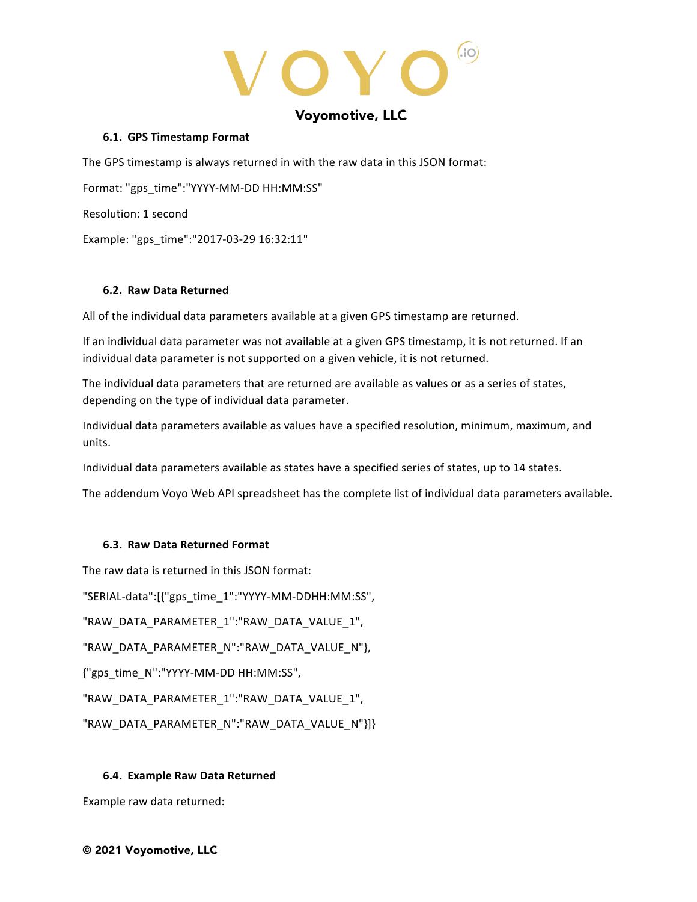$(i)$  $\bigcap$ 

#### **6.1. GPS Timestamp Format**

The GPS timestamp is always returned in with the raw data in this JSON format:

Format: "gps\_time":"YYYY-MM-DD HH:MM:SS"

Resolution: 1 second

Example: "gps\_time":"2017-03-29 16:32:11"

# **6.2. Raw Data Returned**

All of the individual data parameters available at a given GPS timestamp are returned.

If an individual data parameter was not available at a given GPS timestamp, it is not returned. If an individual data parameter is not supported on a given vehicle, it is not returned.

The individual data parameters that are returned are available as values or as a series of states, depending on the type of individual data parameter.

Individual data parameters available as values have a specified resolution, minimum, maximum, and units.

Individual data parameters available as states have a specified series of states, up to 14 states.

The addendum Voyo Web API spreadsheet has the complete list of individual data parameters available.

# **6.3. Raw Data Returned Format**

The raw data is returned in this JSON format: "SERIAL-data":[{"gps\_time\_1":"YYYY-MM-DDHH:MM:SS", "RAW\_DATA\_PARAMETER\_1":"RAW\_DATA\_VALUE\_1", "RAW\_DATA\_PARAMETER\_N":"RAW\_DATA\_VALUE\_N"}, {"gps\_time\_N":"YYYY-MM-DD HH:MM:SS", "RAW\_DATA\_PARAMETER\_1":"RAW\_DATA\_VALUE\_1", "RAW\_DATA\_PARAMETER\_N":"RAW\_DATA\_VALUE\_N"}]}

# **6.4. Example Raw Data Returned**

Example raw data returned: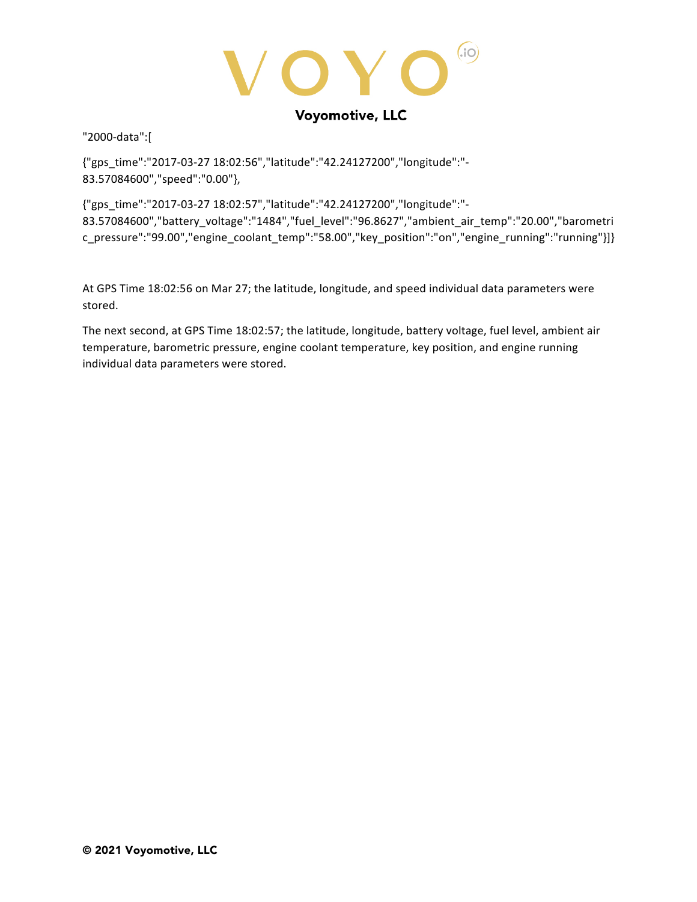$(i)$ Y O

"2000-data":[

{"gps\_time":"2017-03-27 18:02:56","latitude":"42.24127200","longitude":"- 83.57084600","speed":"0.00"},

{"gps\_time":"2017-03-27 18:02:57","latitude":"42.24127200","longitude":"- 83.57084600","battery\_voltage":"1484","fuel\_level":"96.8627","ambient\_air\_temp":"20.00","barometri c\_pressure":"99.00","engine\_coolant\_temp":"58.00","key\_position":"on","engine\_running":"running"}]}

At GPS Time 18:02:56 on Mar 27; the latitude, longitude, and speed individual data parameters were stored. 

The next second, at GPS Time 18:02:57; the latitude, longitude, battery voltage, fuel level, ambient air temperature, barometric pressure, engine coolant temperature, key position, and engine running individual data parameters were stored.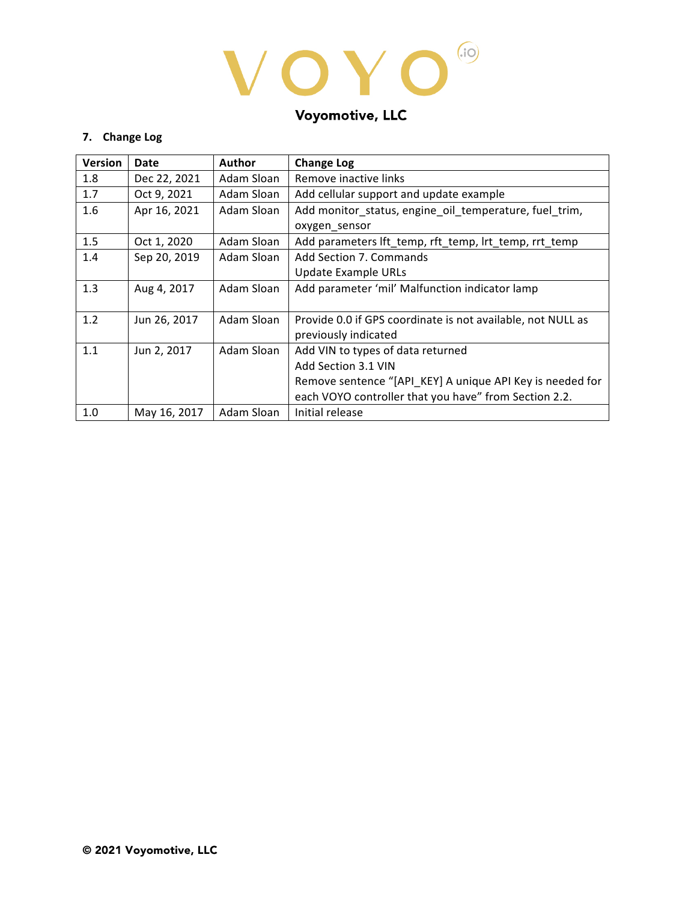# VOYO®

# Voyomotive, LLC

# **7. Change Log**

| <b>Version</b> | Date         | <b>Author</b> | <b>Change Log</b>                                           |
|----------------|--------------|---------------|-------------------------------------------------------------|
| 1.8            | Dec 22, 2021 | Adam Sloan    | Remove inactive links                                       |
| 1.7            | Oct 9, 2021  | Adam Sloan    | Add cellular support and update example                     |
| 1.6            | Apr 16, 2021 | Adam Sloan    | Add monitor_status, engine_oil_temperature, fuel_trim,      |
|                |              |               | oxygen_sensor                                               |
| 1.5            | Oct 1, 2020  | Adam Sloan    | Add parameters lft temp, rft temp, lrt temp, rrt temp       |
| 1.4            | Sep 20, 2019 | Adam Sloan    | Add Section 7. Commands                                     |
|                |              |               | <b>Update Example URLs</b>                                  |
| 1.3            | Aug 4, 2017  | Adam Sloan    | Add parameter 'mil' Malfunction indicator lamp              |
|                |              |               |                                                             |
| 1.2            | Jun 26, 2017 | Adam Sloan    | Provide 0.0 if GPS coordinate is not available, not NULL as |
|                |              |               | previously indicated                                        |
| 1.1            | Jun 2, 2017  | Adam Sloan    | Add VIN to types of data returned                           |
|                |              |               | Add Section 3.1 VIN                                         |
|                |              |               | Remove sentence "[API_KEY] A unique API Key is needed for   |
|                |              |               | each VOYO controller that you have" from Section 2.2.       |
| 1.0            | May 16, 2017 | Adam Sloan    | Initial release                                             |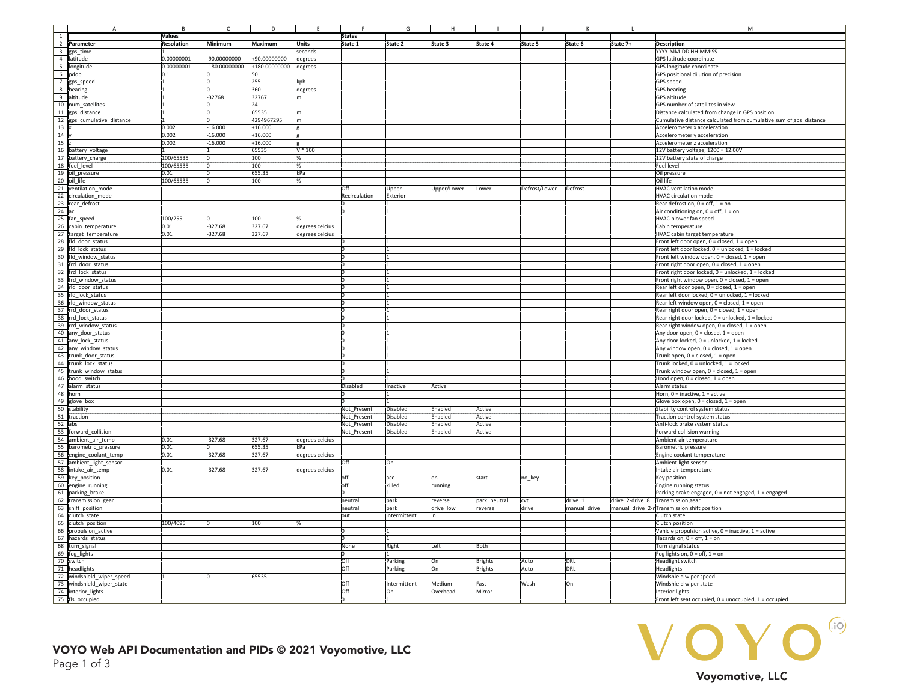|                         | А                         |            |                | D             |                 |               | G           |             |                |               |              |                 | M                                                                  |
|-------------------------|---------------------------|------------|----------------|---------------|-----------------|---------------|-------------|-------------|----------------|---------------|--------------|-----------------|--------------------------------------------------------------------|
| $\mathbf 1$             |                           | Values     |                |               |                 | <b>States</b> |             |             |                |               |              |                 |                                                                    |
| $\overline{2}$          | Parameter                 | Resolution | Minimum        | Maximum       | <b>Units</b>    | State 1       | State 2     | State 3     | State 4        | State 5       | State 6      | State 7+        | <b>Description</b>                                                 |
| $\overline{\mathbf{3}}$ | gps time                  |            |                |               | seconds         |               |             |             |                |               |              |                 | YYYY-MM-DD HH:MM:SS                                                |
| 4                       | latitude                  | 0.00000001 | $-90.00000000$ | +90.00000000  | degrees         |               |             |             |                |               |              |                 | GPS latitude coordinate                                            |
|                         |                           |            |                |               |                 |               |             |             |                |               |              |                 |                                                                    |
|                         | 5 longitude               | 0.00000001 | 180.00000000   | +180.00000000 | degrees         |               |             |             |                |               |              |                 | GPS longitude coordinate                                           |
|                         | 6 pdop                    | 0.1        |                | 50            |                 |               |             |             |                |               |              |                 | GPS positional dilution of precision                               |
|                         | 7 gps_speed               |            |                | 255           | kph             |               |             |             |                |               |              |                 | <b>GPS</b> speed                                                   |
|                         | 8 bearing                 |            |                | 360           | degrees         |               |             |             |                |               |              |                 | <b>GPS</b> bearing                                                 |
|                         | 9 altitude                |            | $-32768$       | 32767         |                 |               |             |             |                |               |              |                 | <b>GPS</b> altitude                                                |
|                         |                           |            |                |               | m               |               |             |             |                |               |              |                 |                                                                    |
|                         | 10 num satellites         |            |                | 24            |                 |               |             |             |                |               |              |                 | GPS number of satellites in view                                   |
|                         | 11 gps distance           |            |                | 65535         |                 |               |             |             |                |               |              |                 | Distance calculated from change in GPS position                    |
| 12                      | gps_cumulative_distance   |            |                | 4294967295    | łm              |               |             |             |                |               |              |                 | Cumulative distance calculated from cumulative sum of gps_distance |
| 13                      |                           | 0.002      | $-16.000$      | $+16.000$     |                 |               |             |             |                |               |              |                 | Accelerometer x acceleration                                       |
|                         |                           |            |                |               |                 |               |             |             |                |               |              |                 |                                                                    |
| 14                      |                           | 0.002      | $-16.000$      | $+16.000$     |                 |               |             |             |                |               |              |                 | Accelerometer y acceleration                                       |
| 15                      |                           | 0.002      | $-16.000$      | $+16.000$     |                 |               |             |             |                |               |              |                 | Accelerometer z acceleration                                       |
|                         | 16 battery_voltage        |            |                | 65535         | $*100$          |               |             |             |                |               |              |                 | 12V battery voltage, 1200 = 12.00V                                 |
|                         | 17 battery_charge         | 100/65535  |                | 100           |                 |               |             |             |                |               |              |                 | 12V battery state of charge                                        |
|                         | 18 fuel level             | 100/65535  |                | 100           |                 |               |             |             |                |               |              |                 | Fuel level                                                         |
|                         |                           |            |                |               |                 |               |             |             |                |               |              |                 |                                                                    |
|                         | 19 oil pressure           | 0.01       |                | 655.35        | kPa             |               |             |             |                |               |              |                 | Oil pressure                                                       |
| 20                      | oil life                  | 100/65535  |                | 100           |                 |               |             |             |                |               |              |                 | Oil life                                                           |
| 21                      | ventilation_mode          |            |                |               |                 | Off           | Jpper       | Upper/Lower | Lower          | Defrost/Lower | Defrost      |                 | <b>HVAC</b> ventilation mode                                       |
| 22                      | circulation mode          |            |                |               |                 | Recirculation | Exterior    |             |                |               |              |                 | <b>HVAC circulation mode</b>                                       |
|                         |                           |            |                |               |                 |               |             |             |                |               |              |                 |                                                                    |
| 23                      | rear_defrost              |            |                |               |                 |               |             |             |                |               |              |                 | Rear defrost on, $0 =$ off, $1 =$ on                               |
| 24                      |                           |            |                |               |                 |               |             |             |                |               |              |                 | Air conditioning on, $0 =$ off, $1 =$ on                           |
| 25                      | fan speed                 | 100/255    |                | 100           |                 |               |             |             |                |               |              |                 | <b>HVAC blower fan speed</b>                                       |
| 26                      | cabin_temperature         | 0.01       | $-327.68$      | 327.67        | degrees celcius |               |             |             |                |               |              |                 | Cabin temperature                                                  |
|                         |                           |            |                |               |                 |               |             |             |                |               |              |                 |                                                                    |
|                         | 27 target_temperature     | 0.01       | 327.68         | 327.67        | degrees celcius |               |             |             |                |               |              |                 | HVAC cabin target temperature                                      |
|                         | 28 fld door status        |            |                |               |                 |               |             |             |                |               |              |                 | Front left door open, 0 = closed, 1 = open                         |
|                         | 29 fld lock status        |            |                |               |                 |               |             |             |                |               |              |                 | Front left door locked, 0 = unlocked, 1 = locked                   |
|                         | 30 fld_window_status      |            |                |               |                 |               |             |             |                |               |              |                 | Front left window open, 0 = closed, 1 = open                       |
|                         | 31 frd_door_status        |            |                |               |                 |               |             |             |                |               |              |                 | Front right door open, 0 = closed, 1 = open                        |
|                         |                           |            |                |               |                 |               |             |             |                |               |              |                 |                                                                    |
|                         | 32 frd lock status        |            |                |               |                 |               |             |             |                |               |              |                 | Front right door locked, 0 = unlocked, 1 = locked                  |
|                         | 33 frd_window_status      |            |                |               |                 |               |             |             |                |               |              |                 | Front right window open, 0 = closed, 1 = open                      |
|                         | 34 rld door status        |            |                |               |                 |               |             |             |                |               |              |                 | Rear left door open, 0 = closed, 1 = open                          |
|                         | 35 rld lock status        |            |                |               |                 |               |             |             |                |               |              |                 | Rear left door locked, 0 = unlocked, 1 = locked                    |
|                         |                           |            |                |               |                 |               |             |             |                |               |              |                 |                                                                    |
|                         | 36 rld window status      |            |                |               |                 |               |             |             |                |               |              |                 | Rear left window open, 0 = closed, 1 = open                        |
|                         | 37 rrd_door_status        |            |                |               |                 |               |             |             |                |               |              |                 | Rear right door open, 0 = closed, 1 = open                         |
|                         | 38 rrd lock status        |            |                |               |                 |               |             |             |                |               |              |                 | Rear right door locked, 0 = unlocked, 1 = locked                   |
|                         | 39 rrd_window_status      |            |                |               |                 |               |             |             |                |               |              |                 | Rear right window open, 0 = closed, 1 = open                       |
|                         | 40 any_door_status        |            |                |               |                 |               |             |             |                |               |              |                 | Any door open, 0 = closed, 1 = open                                |
|                         |                           |            |                |               |                 |               |             |             |                |               |              |                 |                                                                    |
|                         | 41 any lock status        |            |                |               |                 |               |             |             |                |               |              |                 | Any door locked, 0 = unlocked, 1 = locked                          |
|                         | 42 any_window_status      |            |                |               |                 |               |             |             |                |               |              |                 | Any window open, 0 = closed, 1 = open                              |
|                         | 43 trunk_door_status      |            |                |               |                 |               |             |             |                |               |              |                 | Trunk open, 0 = closed, 1 = open                                   |
|                         | 44 trunk lock status      |            |                |               |                 |               |             |             |                |               |              |                 | Trunk locked, 0 = unlocked, 1 = locked                             |
|                         |                           |            |                |               |                 |               |             |             |                |               |              |                 |                                                                    |
|                         | 45 trunk window status    |            |                |               |                 |               |             |             |                |               |              |                 | Trunk window open, 0 = closed, 1 = open                            |
|                         | 46 hood switch            |            |                |               |                 |               |             |             |                |               |              |                 | Hood open, 0 = closed, 1 = open                                    |
|                         | 47 alarm_status           |            |                |               |                 | Disabled      | Inactive    | Active      |                |               |              |                 | Alarm status                                                       |
|                         | 48 horn                   |            |                |               |                 |               |             |             |                |               |              |                 | Horn, $0 =$ inactive, $1 =$ active                                 |
|                         | 49 glove box              |            |                |               |                 |               |             |             |                |               |              |                 | Glove box open, 0 = closed, 1 = open                               |
|                         |                           |            |                |               |                 |               |             |             |                |               |              |                 |                                                                    |
|                         | 50 stability              |            |                |               |                 | Not_Present   | Disabled    | Enabled     | Active         |               |              |                 | Stability control system status                                    |
|                         | 51 traction               |            |                |               |                 | Not Present   | Disabled    | Enabled     | Active         |               |              |                 | <b>Traction control system status</b>                              |
|                         | $52$ abs                  |            |                |               |                 | Not Present   | Disabled    | Enabled     | Active         |               |              |                 | Anti-lock brake system status                                      |
|                         | 53 forward collision      |            |                |               |                 | Not Present   | Disabled    | Enabled     | Active         |               |              |                 | Forward collision warning                                          |
| 54                      | ambient_air_temp          | 0.01       | $-327.68$      | 327.67        | degrees celcius |               |             |             |                |               |              |                 | Ambient air temperature                                            |
|                         |                           |            |                |               |                 |               |             |             |                |               |              |                 |                                                                    |
| 55                      | barometric_pressure       | 0.01       |                | 655.35        | kPa             |               |             |             |                |               |              |                 | Barometric pressure                                                |
| 56                      | engine coolant temp       | 0.01       | $-327.68$      | 327.67        | degrees celcius |               |             |             |                |               |              |                 | Engine coolant temperature                                         |
| 57                      | ambient light sensor      |            |                |               |                 |               | On          |             |                |               |              |                 | Ambient light sensor                                               |
| 58                      | intake air temp           | 0.01       | $-327.68$      | 327.67        | degrees celcius |               |             |             |                |               |              |                 | ntake air temperature                                              |
|                         |                           |            |                |               |                 |               |             |             |                |               |              |                 |                                                                    |
|                         | 59 key_position           |            |                |               |                 |               | lacc        | lon         | start          | no_key        |              |                 | Key position                                                       |
|                         | 60 engine running         |            |                |               |                 | off           | killed      | running     |                |               |              |                 | <b>Engine running status</b>                                       |
|                         | 61 parking_brake          |            |                |               |                 |               |             |             |                |               |              |                 | Parking brake engaged, 0 = not engaged, 1 = engaged                |
| 62                      | transmission gear         |            |                |               |                 | neutral       | park        | reverse     | park neutral   | cvt           | $drive_1$    | drive 2-drive 8 | <b>Transmission gear</b>                                           |
| 63                      | shift position            |            |                |               |                 | neutral       | park        | drive low   | everse         | drive         | manual drive |                 | manual drive 2-r Transmission shift position                       |
|                         |                           |            |                |               |                 |               |             |             |                |               |              |                 |                                                                    |
| 64                      | clutch_state              |            |                |               |                 | out           | ntermittent |             |                |               |              |                 | Clutch state                                                       |
| 65                      | clutch_position           | 100/4095   |                | 100           |                 |               |             |             |                |               |              |                 | Clutch position                                                    |
| 66                      | propulsion active         |            |                |               |                 |               |             |             |                |               |              |                 | Vehicle propulsion active, 0 = inactive, 1 = active                |
| 67                      | hazards_status            |            |                |               |                 |               |             |             |                |               |              |                 | Hazards on, $0 = \text{off}, 1 = \text{on}$                        |
|                         |                           |            |                |               |                 |               |             |             |                |               |              |                 |                                                                    |
| 68                      | turn_signal               |            |                |               |                 | None          | Right       | Left        | Both           |               |              |                 | Turn signal status                                                 |
| 69                      | fog_lights                |            |                |               |                 |               |             |             |                |               |              |                 | Fog lights on, $0 =$ off, $1 =$ on                                 |
| 70                      | switch                    |            |                |               |                 | loff          | Parking     | On          | <b>Brights</b> | Auto          | DRL          |                 | Headlight switch                                                   |
|                         | 71 headlights             |            |                |               |                 | Off           | Parking     | On          | <b>Brights</b> | Auto          | DRL          |                 | Headlights                                                         |
|                         |                           |            |                |               |                 |               |             |             |                |               |              |                 |                                                                    |
|                         | 72 windshield_wiper_speed |            |                | 65535         |                 |               |             |             |                |               |              |                 | Windshield wiper speed                                             |
| 73                      | windshield wiper state    |            |                |               |                 | <b>Off</b>    | ntermittent | Medium      | Fast           | Wash          | On           |                 | Windshield wiper state                                             |
|                         | 74 interior lights        |            |                |               |                 | <b>Off</b>    | On          | Overhead    | Mirror         |               |              |                 | Interior lights                                                    |
|                         | 75 fls_occupied           |            |                |               |                 |               |             |             |                |               |              |                 | Front left seat occupied, 0 = unoccupied, 1 = occupied             |
|                         |                           |            |                |               |                 |               |             |             |                |               |              |                 |                                                                    |

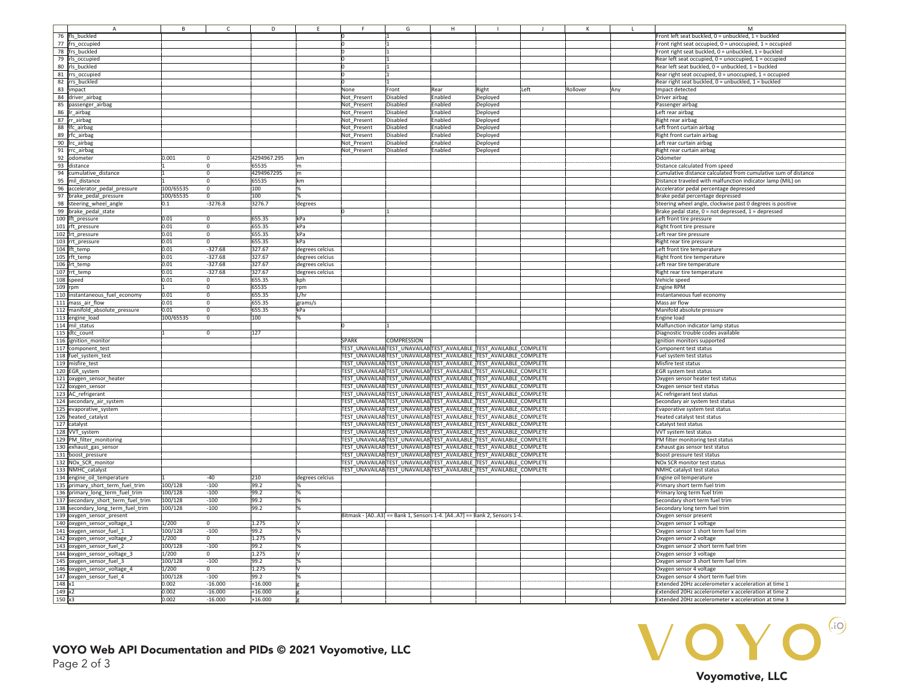|                |                                   |           |           |             |                 |              | G                  |                |                                                                         |      |          |     |                                                                |
|----------------|-----------------------------------|-----------|-----------|-------------|-----------------|--------------|--------------------|----------------|-------------------------------------------------------------------------|------|----------|-----|----------------------------------------------------------------|
| 76             | fls buckled                       |           |           |             |                 |              |                    |                |                                                                         |      |          |     | Front left seat buckled, 0 = unbuckled, 1 = buckled            |
| 77             | frs_occupied                      |           |           |             |                 |              |                    |                |                                                                         |      |          |     | Front right seat occupied, 0 = unoccupied, 1 = occupied        |
| 78             | frs buckled                       |           |           |             |                 |              |                    |                |                                                                         |      |          |     | Front right seat buckled, 0 = unbuckled, 1 = buckled           |
|                |                                   |           |           |             |                 |              |                    |                |                                                                         |      |          |     |                                                                |
| 79             | rls_occupied                      |           |           |             |                 |              |                    |                |                                                                         |      |          |     | Rear left seat occupied, 0 = unoccupied, 1 = occupied          |
|                | 80 rls_buckled                    |           |           |             |                 |              |                    |                |                                                                         |      |          |     | Rear left seat buckled, 0 = unbuckled, 1 = buckled             |
|                | 81 rrs_occupied                   |           |           |             |                 |              |                    |                |                                                                         |      |          |     | Rear right seat occupied, 0 = unoccupied, 1 = occupied         |
|                | 82 rrs_buckled                    |           |           |             |                 |              |                    |                |                                                                         |      |          |     | Rear right seat buckled, 0 = unbuckled, 1 = buckled            |
|                | 83 impact                         |           |           |             |                 | None         | Front              | Rear           | Right                                                                   | Left | Rollover | Any | Impact detected                                                |
|                |                                   |           |           |             |                 |              |                    |                |                                                                         |      |          |     |                                                                |
|                | 84 driver_airbag                  |           |           |             |                 | Not Present  | Disabled           | Enabled        | Deployed                                                                |      |          |     | Driver airbag                                                  |
|                | 85 passenger_airbag               |           |           |             |                 | Not_Present  | Disabled           | Enabled        | Deployed                                                                |      |          |     | Passenger airbag                                               |
|                | 86 Ir_airbag                      |           |           |             |                 | Not Present  | Disabled           | Enabled        | Deployed                                                                |      |          |     | Left rear airbag                                               |
|                | 87 rr_airbag                      |           |           |             |                 | Not_Present  | Disabled           | Enabled        | Deployed                                                                |      |          |     | Right rear airbag                                              |
|                | 88 Ifc_airbag                     |           |           |             |                 | Not Present  | Disabled           | nabled         |                                                                         |      |          |     | Left front curtain airbag                                      |
|                |                                   |           |           |             |                 |              |                    |                | Deployed                                                                |      |          |     |                                                                |
|                | 89 rfc_airbag                     |           |           |             |                 | Not Present  | Disabled           | inabled        | Deployed                                                                |      |          |     | Right front curtain airbag                                     |
|                | 90 Irc_airbag                     |           |           |             |                 | Not Present  | Disabled           | nabled         | Deployed                                                                |      |          |     | Left rear curtain airbag                                       |
|                | 91 rrc_airbag                     |           |           |             |                 | Not Present  | Disabled           | <b>Enabled</b> | Deployed                                                                |      |          |     | Right rear curtain airbag                                      |
|                | 92 odometer                       | 0.001     |           | 4294967.295 | lkm             |              |                    |                |                                                                         |      |          |     | Odometer                                                       |
|                |                                   |           |           |             |                 |              |                    |                |                                                                         |      |          |     |                                                                |
| 93             | distance                          |           |           | 65535       | 'n              |              |                    |                |                                                                         |      |          |     | Distance calculated from speed                                 |
| 94             | cumulative distance               |           |           | 4294967295  | (m              |              |                    |                |                                                                         |      |          |     | cumulative distance calculated from cumulative sum of distance |
| 95             | mil distance                      |           |           | 65535       | km              |              |                    |                |                                                                         |      |          |     | Distance traveled with malfunction indicator lamp (MIL) on     |
| 96             | accelerator_pedal_pressure        | 100/65535 |           | 100         |                 |              |                    |                |                                                                         |      |          |     | Accelerator pedal percentage depressed                         |
|                |                                   |           |           |             |                 |              |                    |                |                                                                         |      |          |     |                                                                |
| 97             | brake pedal pressure              | 100/65535 |           | 100         |                 |              |                    |                |                                                                         |      |          |     | Brake pedal percentage depressed                               |
| 98             | steering_wheel_angle              | 0.1       | $-3276.8$ | 3276.7      | degrees         |              |                    |                |                                                                         |      |          |     | Steering wheel angle, clockwise past 0 degrees is positive     |
| 99             | brake pedal state                 |           |           |             |                 |              |                    |                |                                                                         |      |          |     | Brake pedal state, 0 = not depressed, 1 = depressed            |
|                | 100 lft_pressure                  | 0.01      |           | 655.35      | kPa             |              |                    |                |                                                                         |      |          |     | Left front tire pressure                                       |
|                |                                   | 0.01      |           | 655.35      | kPa             |              |                    |                |                                                                         |      |          |     | Right front tire pressure                                      |
|                | 101 rft_pressure                  |           |           |             |                 |              |                    |                |                                                                         |      |          |     |                                                                |
|                | 102 Irt pressure                  | 0.01      |           | 655.35      | kPa             |              |                    |                |                                                                         |      |          |     | Left rear tire pressure                                        |
|                | 103 rrt_pressure                  | 0.01      |           | 655.35      | kPa             |              |                    |                |                                                                         |      |          |     | Right rear tire pressure                                       |
|                | 104 lft_temp                      | 0.01      | $-327.68$ | 327.67      | degrees celcius |              |                    |                |                                                                         |      |          |     | Left front tire temperature                                    |
|                | 105 rft temp                      | 0.01      | $-327.68$ | 327.67      | degrees celcius |              |                    |                |                                                                         |      |          |     | Right front tire temperature                                   |
|                |                                   |           |           |             |                 |              |                    |                |                                                                         |      |          |     |                                                                |
|                | 106 lrt_temp                      | 0.01      | $-327.68$ | 327.67      | degrees celcius |              |                    |                |                                                                         |      |          |     | Left rear tire temperature                                     |
|                | 107 rrt_temp                      | 0.01      | $-327.68$ | 327.67      | degrees celcius |              |                    |                |                                                                         |      |          |     | Right rear tire temperature                                    |
|                | 108 speed                         | 0.01      |           | 655.35      | kph             |              |                    |                |                                                                         |      |          |     | Vehicle speed                                                  |
| 109 rpm        |                                   |           |           | 65535       | rpm             |              |                    |                |                                                                         |      |          |     | Engine RPM                                                     |
|                | 110 instantaneous fuel economy    | 0.01      |           | 655.35      | L/hr            |              |                    |                |                                                                         |      |          |     | Instantaneous fuel economy                                     |
|                |                                   |           |           |             |                 |              |                    |                |                                                                         |      |          |     |                                                                |
|                | 111 mass air flow                 | 0.01      |           | 655.35      | grams/s         |              |                    |                |                                                                         |      |          |     | Mass air flow                                                  |
|                | 112 manifold absolute pressure    | 0.01      |           | 655.35      | kPa             |              |                    |                |                                                                         |      |          |     | Manifold absolute pressure                                     |
|                | 113 engine load                   | 100/65535 |           | 100         |                 |              |                    |                |                                                                         |      |          |     | Engine load                                                    |
|                | 114 mil status                    |           |           |             |                 |              |                    |                |                                                                         |      |          |     | Malfunction indicator lamp status                              |
|                |                                   |           |           | 127         |                 |              |                    |                |                                                                         |      |          |     |                                                                |
|                | 115 dtc count                     |           |           |             |                 |              |                    |                |                                                                         |      |          |     | Diagnostic trouble codes available                             |
|                | 116 ignition monitor              |           |           |             |                 | <b>SPARK</b> | <b>COMPRESSION</b> |                |                                                                         |      |          |     | Ignition monitors supported                                    |
|                | 117 component_test                |           |           |             |                 |              |                    |                | TEST_UNAVAILABTEST_UNAVAILABTEST_AVAILABLE_TEST_AVAILABLE_COMPLETE      |      |          |     | Component test status                                          |
|                | 118 fuel system_test              |           |           |             |                 |              |                    |                | TEST_UNAVAILAB TEST_UNAVAILAB TEST_AVAILABLE_TEST_AVAILABLE_COMPLETE    |      |          |     | Fuel system test status                                        |
|                | 119 misfire test                  |           |           |             |                 |              |                    |                | TEST_UNAVAILABTEST_UNAVAILABTEST_AVAILABLE TEST_AVAILABLE_COMPLETE      |      |          |     | Misfire test status                                            |
|                |                                   |           |           |             |                 |              |                    |                |                                                                         |      |          |     |                                                                |
|                | 120 EGR system                    |           |           |             |                 |              |                    |                | TEST UNAVAILAB TEST UNAVAILAB TEST AVAILABLE TEST AVAILABLE COMPLETE    |      |          |     | EGR system test status                                         |
|                | 121 oxygen_sensor_heater          |           |           |             |                 |              |                    |                | TEST UNAVAILAB TEST UNAVAILAB TEST AVAILABLE TEST AVAILABLE COMPLETE    |      |          |     | Oxygen sensor heater test status                               |
|                | 122 oxygen sensor                 |           |           |             |                 |              |                    |                | TEST UNAVAILAB TEST UNAVAILAB TEST AVAILABLE TEST AVAILABLE COMPLETE    |      |          |     | Oxygen sensor test status                                      |
|                | 123 AC_refrigerant                |           |           |             |                 |              |                    |                | TEST UNAVAILAB TEST UNAVAILAB TEST AVAILABLE TEST AVAILABLE COMPLETE    |      |          |     | AC refrigerant test status                                     |
|                |                                   |           |           |             |                 |              |                    |                | TEST UNAVAILAB TEST UNAVAILAB TEST AVAILABLE TEST AVAILABLE COMPLETE    |      |          |     |                                                                |
|                | 124 secondary_air_system          |           |           |             |                 |              |                    |                |                                                                         |      |          |     | Secondary air system test status                               |
|                | 125 evaporative_system            |           |           |             |                 |              |                    |                | TEST UNAVAILAB TEST UNAVAILAB TEST AVAILABLE TEST AVAILABLE COMPLETE    |      |          |     | Evaporative system test status                                 |
|                | 126 heated_catalyst               |           |           |             |                 |              |                    |                | TEST UNAVAILAB TEST UNAVAILAB TEST AVAILABLE TEST AVAILABLE COMPLETE    |      |          |     | Heated catalyst test status                                    |
|                | 127 catalyst                      |           |           |             |                 |              |                    |                | TEST UNAVAILAB TEST UNAVAILAB TEST AVAILABLE TEST AVAILABLE COMPLETE    |      |          |     | Catalyst test status                                           |
|                | 128 VVT system                    |           |           |             |                 |              |                    |                | TEST UNAVAILAB TEST UNAVAILAB TEST AVAILABLE TEST AVAILABLE COMPLETE    |      |          |     | VVT system test status                                         |
|                |                                   |           |           |             |                 |              |                    |                |                                                                         |      |          |     |                                                                |
|                | 129 PM filter monitoring          |           |           |             |                 |              |                    |                | TEST UNAVAILAB TEST UNAVAILAB TEST AVAILABLE TEST AVAILABLE COMPLETE    |      |          |     | PM filter monitoring test status                               |
|                | 130 exhaust_gas_sensor            |           |           |             |                 |              |                    |                | TEST UNAVAILAB TEST UNAVAILAB TEST AVAILABLE TEST AVAILABLE COMPLETE    |      |          |     | Exhaust gas sensor test status                                 |
|                | 131 boost pressure                |           |           |             |                 |              |                    |                | TEST UNAVAILAB TEST UNAVAILAB TEST AVAILABLE TEST AVAILABLE COMPLETE    |      |          |     | Boost pressure test status                                     |
|                | 132 NOx_SCR_monitor               |           |           |             |                 |              |                    |                | TEST UNAVAILAB TEST UNAVAILAB TEST AVAILABLE TEST AVAILABLE COMPLETE    |      |          |     | <b>NOx SCR monitor test status</b>                             |
|                | 133 NMHC catalyst                 |           |           |             |                 |              |                    |                | TEST UNAVAILAB TEST UNAVAILAB TEST AVAILABLE TEST AVAILABLE COMPLETE    |      |          |     | NMHC catalyst test status                                      |
|                |                                   |           |           |             |                 |              |                    |                |                                                                         |      |          |     |                                                                |
|                | 134 engine_oil_temperature        |           | $-40$     | 210         | degrees celcius |              |                    |                |                                                                         |      |          |     | Engine oil temperature                                         |
|                | 135 primary short term fuel trim  | 100/128   | $-100$    | 99.2        |                 |              |                    |                |                                                                         |      |          |     | Primary short term fuel trim                                   |
|                | 136 primary_long_term_fuel_trim   | 100/128   | $-100$    | 99.2        |                 |              |                    |                |                                                                         |      |          |     | Primary long term fuel trim                                    |
| 137            | secondary short term fuel trim    | 100/128   | 100       | 99.2        |                 |              |                    |                |                                                                         |      |          |     | secondary short term fuel trim                                 |
|                |                                   |           |           |             |                 |              |                    |                |                                                                         |      |          |     |                                                                |
|                | 138 secondary long term fuel trim | 100/128   | 100       | 99.2        |                 |              |                    |                |                                                                         |      |          |     | Secondary long term fuel trim                                  |
|                | 139 oxygen sensor present         |           |           |             |                 |              |                    |                | Bitmask - [A0A3] == Bank 1, Sensors 1-4. [A4A7] == Bank 2, Sensors 1-4. |      |          |     | Oxygen sensor present                                          |
|                | 140 oxygen_sensor_voltage_1       | 1/200     |           | 1.275       |                 |              |                    |                |                                                                         |      |          |     | Oxygen sensor 1 voltage                                        |
| 141            | oxygen sensor fuel 1              | 100/128   | $-100$    | 99.2        |                 |              |                    |                |                                                                         |      |          |     | Oxygen sensor 1 short term fuel trim                           |
|                |                                   |           |           |             |                 |              |                    |                |                                                                         |      |          |     |                                                                |
| 142            | oxygen_sensor_voltage_2           | 1/200     |           | 1.275       |                 |              |                    |                |                                                                         |      |          |     | Oxygen sensor 2 voltage                                        |
| 143            | oxygen_sensor_fuel_2              | 100/128   | $-100$    | 99.2        |                 |              |                    |                |                                                                         |      |          |     | Oxygen sensor 2 short term fuel trim                           |
| 144            | oxygen_sensor_voltage_3           | 1/200     |           | 1.275       |                 |              |                    |                |                                                                         |      |          |     | Oxygen sensor 3 voltage                                        |
| 145            | oxygen_sensor_fuel_3              | 100/128   | $-100$    | 99.2        |                 |              |                    |                |                                                                         |      |          |     | Oxygen sensor 3 short term fuel trim                           |
|                |                                   | 1/200     |           | 1.275       |                 |              |                    |                |                                                                         |      |          |     |                                                                |
|                | 146 oxygen_sensor_voltage_4       |           |           |             |                 |              |                    |                |                                                                         |      |          |     | Oxygen sensor 4 voltage                                        |
|                | 147 oxygen_sensor_fuel_4          | 100/128   | $-100$    | 99.2        |                 |              |                    |                |                                                                         |      |          |     | Oxygen sensor 4 short term fuel trim                           |
| 148 x1         |                                   | 0.002     | $-16.000$ | $+16.000$   |                 |              |                    |                |                                                                         |      |          |     | Extended 20Hz accelerometer x acceleration at time 1           |
| 149x2          |                                   | 0.002     | $-16.000$ | $+16.000$   |                 |              |                    |                |                                                                         |      |          |     | Extended 20Hz accelerometer x acceleration at time 2           |
| $150 \times 3$ |                                   | 0.002     | $-16.000$ | $+16.000$   |                 |              |                    |                |                                                                         |      |          |     | Extended 20Hz accelerometer x acceleration at time 3           |
|                |                                   |           |           |             |                 |              |                    |                |                                                                         |      |          |     |                                                                |